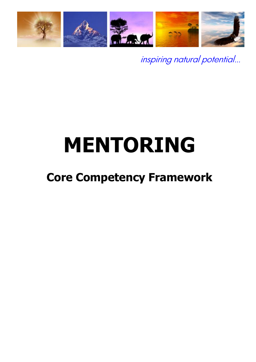

inspiring natural potential…

# **MENTORING**

# **Core Competency Framework**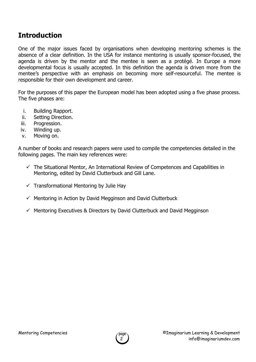#### **Introduction**

One of the major issues faced by organisations when developing mentoring schemes is the absence of a clear definition. In the USA for instance mentoring is usually sponsor-focused, the agenda is driven by the mentor and the mentee is seen as a protégé. In Europe a more developmental focus is usually accepted. In this definition the agenda is driven more from the mentee's perspective with an emphasis on becoming more self-resourceful. The mentee is responsible for their own development and career.

For the purposes of this paper the European model has been adopted using a five phase process. The five phases are:

- i. Building Rapport.
- ii. Setting Direction.
- iii. Progression.
- iv. Winding up.
- v. Moving on.

A number of books and research papers were used to compile the competencies detailed in the following pages. The main key references were:

- $\checkmark$  The Situational Mentor, An International Review of Competences and Capabilities in Mentoring, edited by David Clutterbuck and Gill Lane.
- $\checkmark$  Transformational Mentoring by Julie Hay
- $\checkmark$  Mentoring in Action by David Megginson and David Clutterbuck
- $\checkmark$  Mentoring Executives & Directors by David Clutterbuck and David Megginson

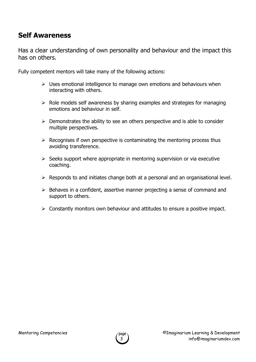#### **Self Awareness**

Has a clear understanding of own personality and behaviour and the impact this has on others.

- $\triangleright$  Uses emotional intelligence to manage own emotions and behaviours when interacting with others.
- $\triangleright$  Role models self awareness by sharing examples and strategies for managing emotions and behaviour in self.
- $\triangleright$  Demonstrates the ability to see an others perspective and is able to consider multiple perspectives.
- $\triangleright$  Recognises if own perspective is contaminating the mentoring process thus avoiding transference.
- $\triangleright$  Seeks support where appropriate in mentoring supervision or via executive coaching.
- $\triangleright$  Responds to and initiates change both at a personal and an organisational level.
- $\triangleright$  Behaves in a confident, assertive manner projecting a sense of command and support to others.
- $\triangleright$  Constantly monitors own behaviour and attitudes to ensure a positive impact.

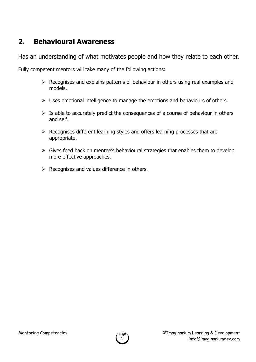#### **2. Behavioural Awareness**

Has an understanding of what motivates people and how they relate to each other.

- $\triangleright$  Recognises and explains patterns of behaviour in others using real examples and models.
- $\triangleright$  Uses emotional intelligence to manage the emotions and behaviours of others.
- $\triangleright$  Is able to accurately predict the consequences of a course of behaviour in others and self.
- $\triangleright$  Recognises different learning styles and offers learning processes that are appropriate.
- $\triangleright$  Gives feed back on mentee's behavioural strategies that enables them to develop more effective approaches.
- $\triangleright$  Recognises and values difference in others.

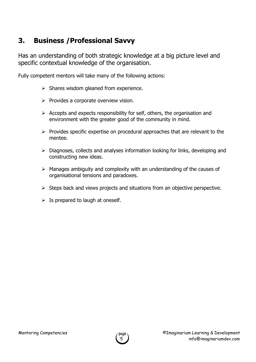#### **3. Business /Professional Savvy**

Has an understanding of both strategic knowledge at a big picture level and specific contextual knowledge of the organisation.

- $\triangleright$  Shares wisdom gleaned from experience.
- $\triangleright$  Provides a corporate overview vision.
- $\triangleright$  Accepts and expects responsibility for self, others, the organisation and environment with the greater good of the community in mind.
- $\triangleright$  Provides specific expertise on procedural approaches that are relevant to the mentee.
- $\triangleright$  Diagnoses, collects and analyses information looking for links, developing and constructing new ideas.
- $\triangleright$  Manages ambiguity and complexity with an understanding of the causes of organisational tensions and paradoxes.
- $\triangleright$  Steps back and views projects and situations from an objective perspective.
- $\triangleright$  Is prepared to laugh at oneself.

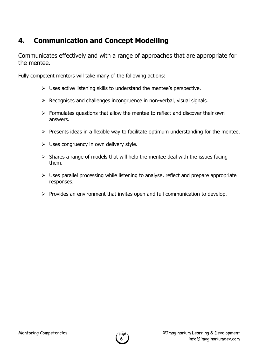# **4. Communication and Concept Modelling**

Communicates effectively and with a range of approaches that are appropriate for the mentee.

- $\triangleright$  Uses active listening skills to understand the mentee's perspective.
- $\triangleright$  Recognises and challenges incongruence in non-verbal, visual signals.
- $\triangleright$  Formulates questions that allow the mentee to reflect and discover their own answers.
- $\triangleright$  Presents ideas in a flexible way to facilitate optimum understanding for the mentee.
- $\triangleright$  Uses congruency in own delivery style.
- $\triangleright$  Shares a range of models that will help the mentee deal with the issues facing them.
- $\triangleright$  Uses parallel processing while listening to analyse, reflect and prepare appropriate responses.
- $\triangleright$  Provides an environment that invites open and full communication to develop.

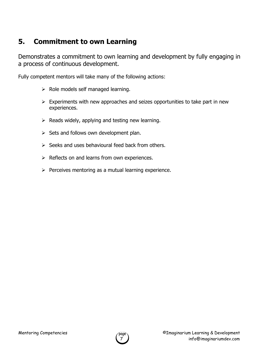#### **5. Commitment to own Learning**

Demonstrates a commitment to own learning and development by fully engaging in a process of continuous development.

- $\triangleright$  Role models self managed learning.
- $\triangleright$  Experiments with new approaches and seizes opportunities to take part in new experiences.
- $\triangleright$  Reads widely, applying and testing new learning.
- $\triangleright$  Sets and follows own development plan.
- $\triangleright$  Seeks and uses behavioural feed back from others.
- $\triangleright$  Reflects on and learns from own experiences.
- $\triangleright$  Perceives mentoring as a mutual learning experience.

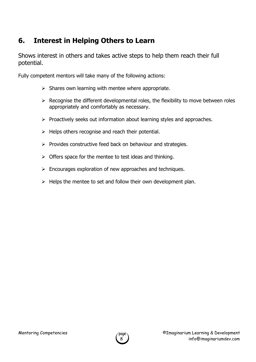# **6. Interest in Helping Others to Learn**

Shows interest in others and takes active steps to help them reach their full potential.

- $\triangleright$  Shares own learning with mentee where appropriate.
- $\triangleright$  Recognise the different developmental roles, the flexibility to move between roles appropriately and comfortably as necessary.
- $\triangleright$  Proactively seeks out information about learning styles and approaches.
- $\triangleright$  Helps others recognise and reach their potential.
- $\triangleright$  Provides constructive feed back on behaviour and strategies.
- $\triangleright$  Offers space for the mentee to test ideas and thinking.
- $\triangleright$  Encourages exploration of new approaches and techniques.
- $\triangleright$  Helps the mentee to set and follow their own development plan.

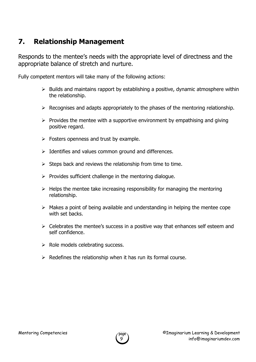#### **7. Relationship Management**

Responds to the mentee's needs with the appropriate level of directness and the appropriate balance of stretch and nurture.

- $\triangleright$  Builds and maintains rapport by establishing a positive, dynamic atmosphere within the relationship.
- $\triangleright$  Recognises and adapts appropriately to the phases of the mentoring relationship.
- $\triangleright$  Provides the mentee with a supportive environment by empathising and giving positive regard.
- $\triangleright$  Fosters openness and trust by example.
- $\triangleright$  Identifies and values common ground and differences.
- $\triangleright$  Steps back and reviews the relationship from time to time.
- $\triangleright$  Provides sufficient challenge in the mentoring dialogue.
- $\triangleright$  Helps the mentee take increasing responsibility for managing the mentoring relationship.
- $\triangleright$  Makes a point of being available and understanding in helping the mentee cope with set backs.
- $\triangleright$  Celebrates the mentee's success in a positive way that enhances self esteem and self confidence.
- $\triangleright$  Role models celebrating success.
- $\triangleright$  Redefines the relationship when it has run its formal course.